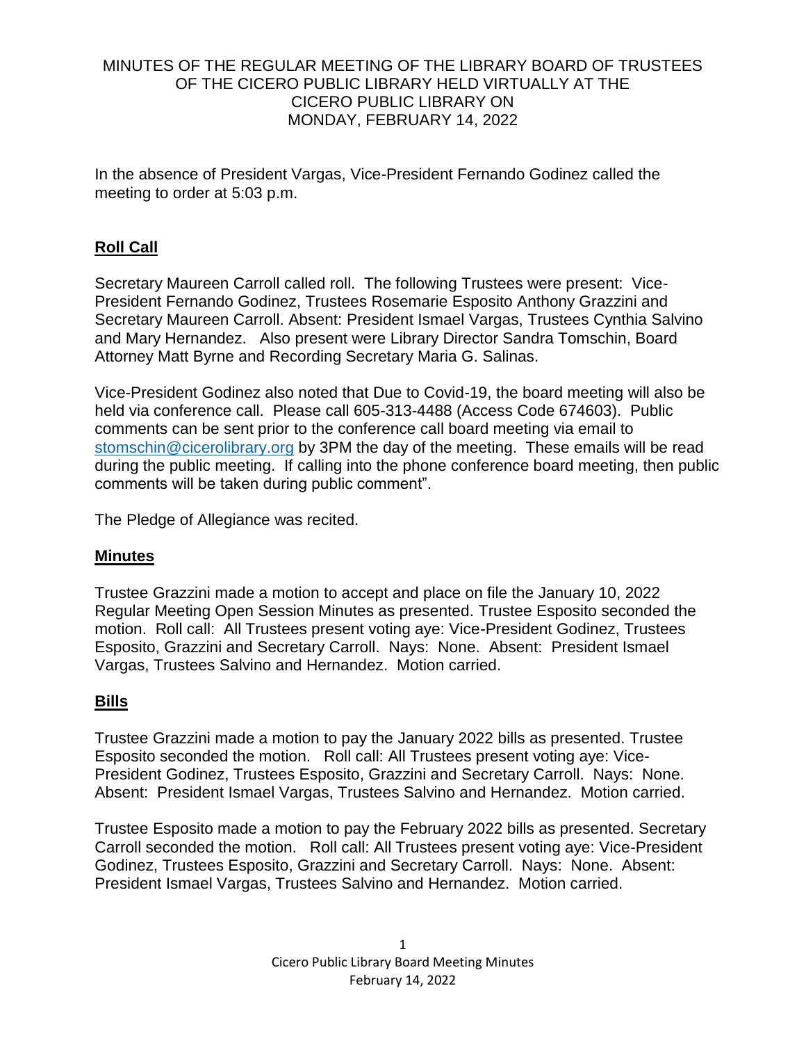## MINUTES OF THE REGULAR MEETING OF THE LIBRARY BOARD OF TRUSTEES OF THE CICERO PUBLIC LIBRARY HELD VIRTUALLY AT THE CICERO PUBLIC LIBRARY ON MONDAY, FEBRUARY 14, 2022

In the absence of President Vargas, Vice-President Fernando Godinez called the meeting to order at 5:03 p.m.

# **Roll Call**

Secretary Maureen Carroll called roll. The following Trustees were present: Vice-President Fernando Godinez, Trustees Rosemarie Esposito Anthony Grazzini and Secretary Maureen Carroll. Absent: President Ismael Vargas, Trustees Cynthia Salvino and Mary Hernandez. Also present were Library Director Sandra Tomschin, Board Attorney Matt Byrne and Recording Secretary Maria G. Salinas.

Vice-President Godinez also noted that Due to Covid-19, the board meeting will also be held via conference call. Please call 605-313-4488 (Access Code 674603). Public comments can be sent prior to the conference call board meeting via email to [stomschin@cicerolibrary.org](mailto:stomschin@cicerolibrary.org) by 3PM the day of the meeting. These emails will be read during the public meeting. If calling into the phone conference board meeting, then public comments will be taken during public comment".

The Pledge of Allegiance was recited.

## **Minutes**

Trustee Grazzini made a motion to accept and place on file the January 10, 2022 Regular Meeting Open Session Minutes as presented. Trustee Esposito seconded the motion. Roll call: All Trustees present voting aye: Vice-President Godinez, Trustees Esposito, Grazzini and Secretary Carroll. Nays: None. Absent: President Ismael Vargas, Trustees Salvino and Hernandez. Motion carried.

# **Bills**

Trustee Grazzini made a motion to pay the January 2022 bills as presented. Trustee Esposito seconded the motion. Roll call: All Trustees present voting aye: Vice-President Godinez, Trustees Esposito, Grazzini and Secretary Carroll. Nays: None. Absent: President Ismael Vargas, Trustees Salvino and Hernandez. Motion carried.

Trustee Esposito made a motion to pay the February 2022 bills as presented. Secretary Carroll seconded the motion. Roll call: All Trustees present voting aye: Vice-President Godinez, Trustees Esposito, Grazzini and Secretary Carroll. Nays: None. Absent: President Ismael Vargas, Trustees Salvino and Hernandez. Motion carried.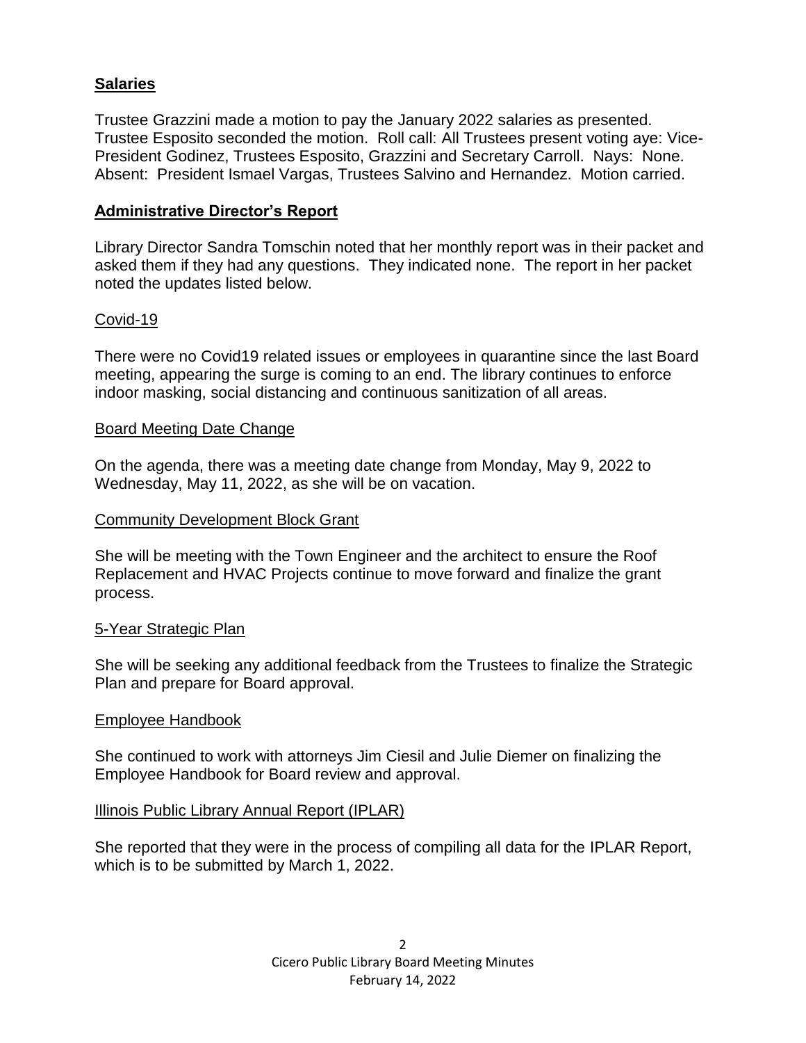# **Salaries**

Trustee Grazzini made a motion to pay the January 2022 salaries as presented. Trustee Esposito seconded the motion. Roll call: All Trustees present voting aye: Vice-President Godinez, Trustees Esposito, Grazzini and Secretary Carroll. Nays: None. Absent: President Ismael Vargas, Trustees Salvino and Hernandez. Motion carried.

# **Administrative Director's Report**

Library Director Sandra Tomschin noted that her monthly report was in their packet and asked them if they had any questions. They indicated none. The report in her packet noted the updates listed below.

## Covid-19

There were no Covid19 related issues or employees in quarantine since the last Board meeting, appearing the surge is coming to an end. The library continues to enforce indoor masking, social distancing and continuous sanitization of all areas.

## Board Meeting Date Change

On the agenda, there was a meeting date change from Monday, May 9, 2022 to Wednesday, May 11, 2022, as she will be on vacation.

### Community Development Block Grant

She will be meeting with the Town Engineer and the architect to ensure the Roof Replacement and HVAC Projects continue to move forward and finalize the grant process.

## 5-Year Strategic Plan

She will be seeking any additional feedback from the Trustees to finalize the Strategic Plan and prepare for Board approval.

#### Employee Handbook

She continued to work with attorneys Jim Ciesil and Julie Diemer on finalizing the Employee Handbook for Board review and approval.

## Illinois Public Library Annual Report (IPLAR)

She reported that they were in the process of compiling all data for the IPLAR Report, which is to be submitted by March 1, 2022.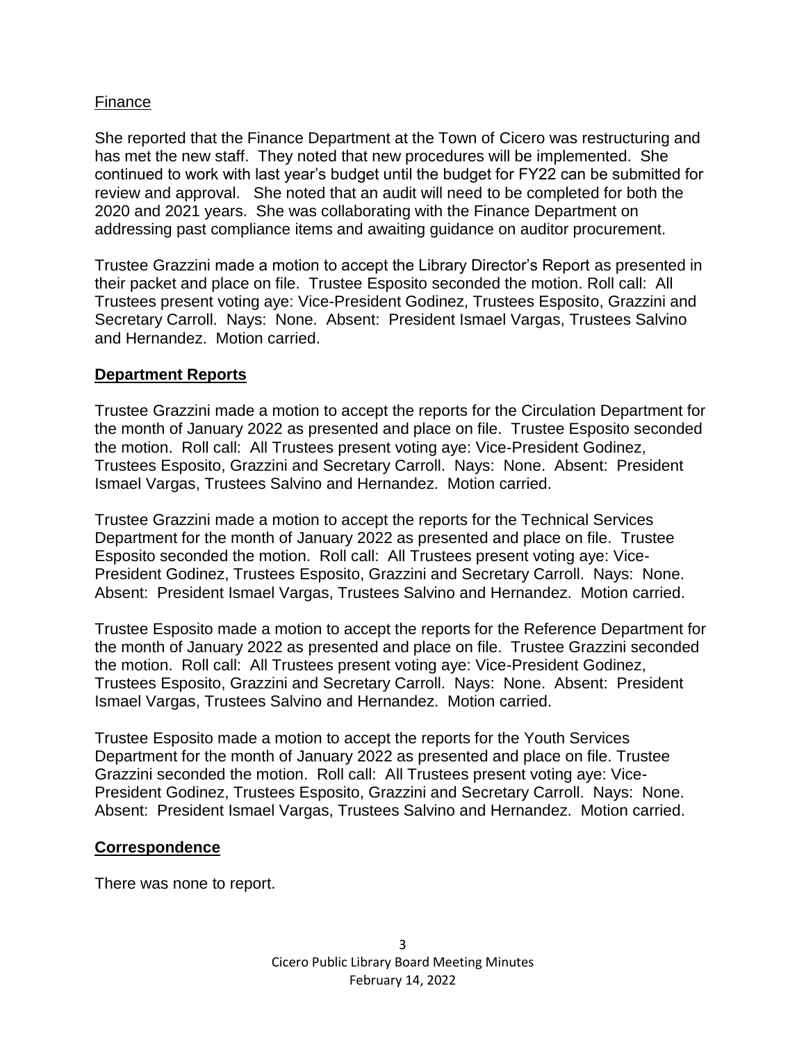# Finance

She reported that the Finance Department at the Town of Cicero was restructuring and has met the new staff. They noted that new procedures will be implemented. She continued to work with last year's budget until the budget for FY22 can be submitted for review and approval. She noted that an audit will need to be completed for both the 2020 and 2021 years. She was collaborating with the Finance Department on addressing past compliance items and awaiting guidance on auditor procurement.

Trustee Grazzini made a motion to accept the Library Director's Report as presented in their packet and place on file. Trustee Esposito seconded the motion. Roll call: All Trustees present voting aye: Vice-President Godinez, Trustees Esposito, Grazzini and Secretary Carroll. Nays: None. Absent: President Ismael Vargas, Trustees Salvino and Hernandez. Motion carried.

## **Department Reports**

Trustee Grazzini made a motion to accept the reports for the Circulation Department for the month of January 2022 as presented and place on file. Trustee Esposito seconded the motion. Roll call: All Trustees present voting aye: Vice-President Godinez, Trustees Esposito, Grazzini and Secretary Carroll. Nays: None. Absent: President Ismael Vargas, Trustees Salvino and Hernandez. Motion carried.

Trustee Grazzini made a motion to accept the reports for the Technical Services Department for the month of January 2022 as presented and place on file. Trustee Esposito seconded the motion. Roll call: All Trustees present voting aye: Vice-President Godinez, Trustees Esposito, Grazzini and Secretary Carroll. Nays: None. Absent: President Ismael Vargas, Trustees Salvino and Hernandez. Motion carried.

Trustee Esposito made a motion to accept the reports for the Reference Department for the month of January 2022 as presented and place on file. Trustee Grazzini seconded the motion. Roll call: All Trustees present voting aye: Vice-President Godinez, Trustees Esposito, Grazzini and Secretary Carroll. Nays: None. Absent: President Ismael Vargas, Trustees Salvino and Hernandez. Motion carried.

Trustee Esposito made a motion to accept the reports for the Youth Services Department for the month of January 2022 as presented and place on file. Trustee Grazzini seconded the motion. Roll call: All Trustees present voting aye: Vice-President Godinez, Trustees Esposito, Grazzini and Secretary Carroll. Nays: None. Absent: President Ismael Vargas, Trustees Salvino and Hernandez. Motion carried.

## **Correspondence**

There was none to report.